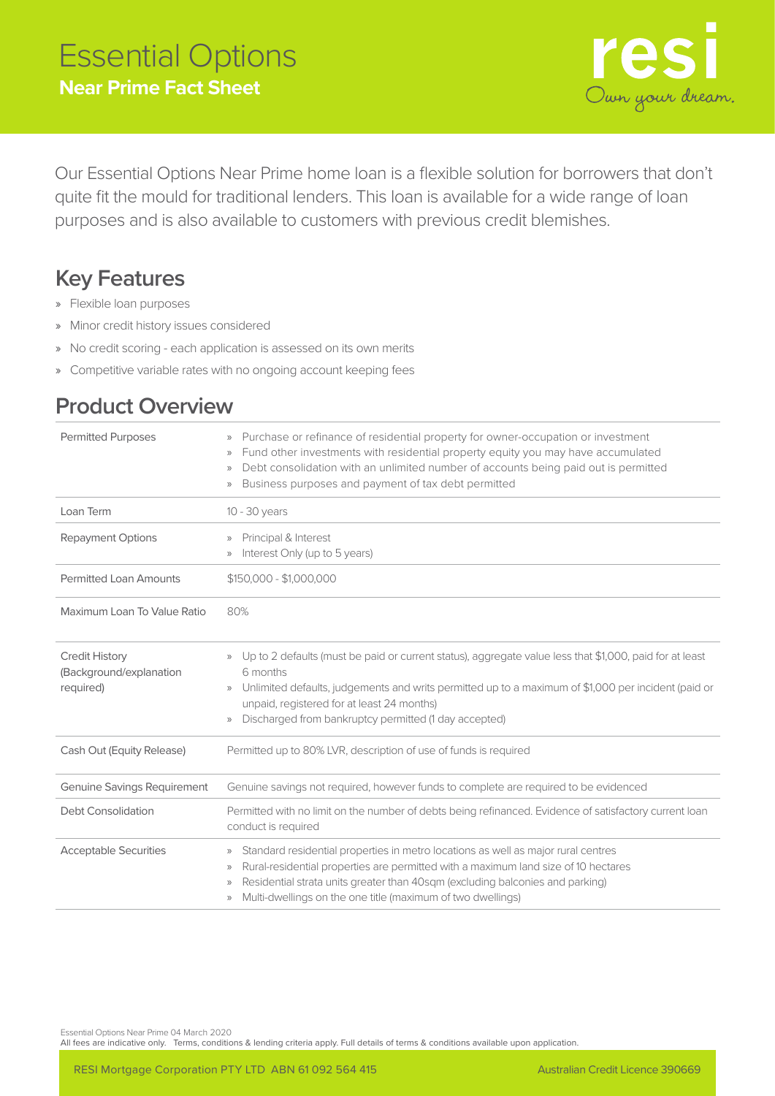

Our Essential Options Near Prime home loan is a flexible solution for borrowers that don't quite fit the mould for traditional lenders. This loan is available for a wide range of loan purposes and is also available to customers with previous credit blemishes.

## **Key Features**

- » Flexible loan purposes
- » Minor credit history issues considered
- » No credit scoring each application is assessed on its own merits
- » Competitive variable rates with no ongoing account keeping fees

## **Product Overview**

| <b>Permitted Purposes</b>                                     | Purchase or refinance of residential property for owner-occupation or investment<br>$\rangle$<br>Fund other investments with residential property equity you may have accumulated<br>$\rangle$<br>Debt consolidation with an unlimited number of accounts being paid out is permitted<br>$\rangle$<br>Business purposes and payment of tax debt permitted<br>$\rangle$                    |  |
|---------------------------------------------------------------|-------------------------------------------------------------------------------------------------------------------------------------------------------------------------------------------------------------------------------------------------------------------------------------------------------------------------------------------------------------------------------------------|--|
| Loan Term                                                     | $10 - 30$ years                                                                                                                                                                                                                                                                                                                                                                           |  |
| <b>Repayment Options</b>                                      | Principal & Interest<br>$\rangle$<br>Interest Only (up to 5 years)<br>$\rangle$                                                                                                                                                                                                                                                                                                           |  |
| <b>Permitted Loan Amounts</b>                                 | \$150,000 - \$1,000,000                                                                                                                                                                                                                                                                                                                                                                   |  |
| Maximum Loan To Value Ratio                                   | 80%                                                                                                                                                                                                                                                                                                                                                                                       |  |
| <b>Credit History</b><br>(Background/explanation<br>required) | » Up to 2 defaults (must be paid or current status), aggregate value less that \$1,000, paid for at least<br>6 months<br>Unlimited defaults, judgements and writs permitted up to a maximum of \$1,000 per incident (paid or<br>$\rangle$<br>unpaid, registered for at least 24 months)<br>Discharged from bankruptcy permitted (1 day accepted)<br>$\rangle$                             |  |
| Cash Out (Equity Release)                                     | Permitted up to 80% LVR, description of use of funds is required                                                                                                                                                                                                                                                                                                                          |  |
| <b>Genuine Savings Requirement</b>                            | Genuine savings not required, however funds to complete are required to be evidenced                                                                                                                                                                                                                                                                                                      |  |
| <b>Debt Consolidation</b>                                     | Permitted with no limit on the number of debts being refinanced. Evidence of satisfactory current loan<br>conduct is required                                                                                                                                                                                                                                                             |  |
| <b>Acceptable Securities</b>                                  | Standard residential properties in metro locations as well as major rural centres<br>$\rangle\rangle$<br>Rural-residential properties are permitted with a maximum land size of 10 hectares<br>$\rangle$<br>Residential strata units greater than 40sqm (excluding balconies and parking)<br>$\rangle$<br>Multi-dwellings on the one title (maximum of two dwellings)<br>$\rangle\rangle$ |  |

Essential Options Near Prime 04 March 2020

All fees are indicative only. Terms, conditions & lending criteria apply. Full details of terms & conditions available upon application.